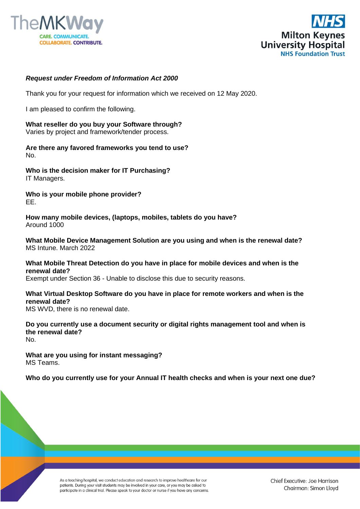



#### *Request under Freedom of Information Act 2000*

Thank you for your request for information which we received on 12 May 2020.

I am pleased to confirm the following.

**What reseller do you buy your Software through?**  Varies by project and framework/tender process.

**Are there any favored frameworks you tend to use?**  No.

**Who is the decision maker for IT Purchasing?**  IT Managers.

**Who is your mobile phone provider?** EE.

**How many mobile devices, (laptops, mobiles, tablets do you have?**  Around 1000

**What Mobile Device Management Solution are you using and when is the renewal date?**  MS Intune. March 2022

**What Mobile Threat Detection do you have in place for mobile devices and when is the renewal date?**  Exempt under Section 36 - Unable to disclose this due to security reasons.

**What Virtual Desktop Software do you have in place for remote workers and when is the renewal date?** 

MS WVD, there is no renewal date.

**Do you currently use a document security or digital rights management tool and when is the renewal date?**  No.

**What are you using for instant messaging?**  MS Teams.

**Who do you currently use for your Annual IT health checks and when is your next one due?** 

As a teaching hospital, we conduct education and research to improve healthcare for our patients. During your visit students may be involved in your care, or you may be asked to participate in a clinical trial. Please speak to your doctor or nurse if you have any concerns.